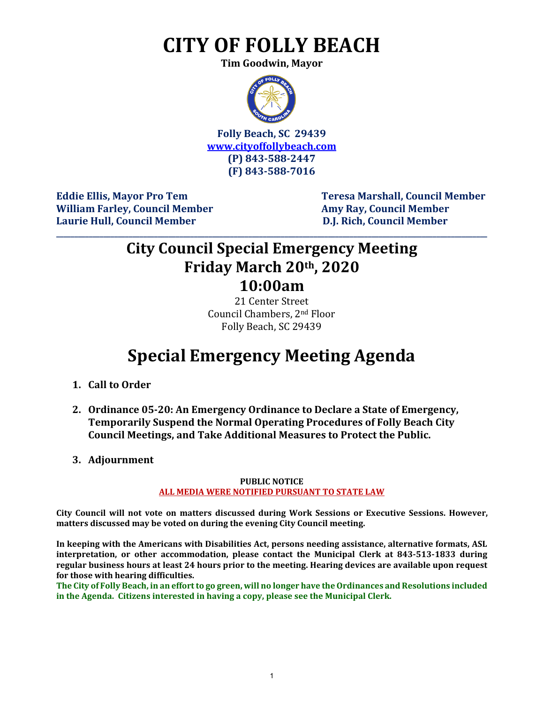# **CITY OF FOLLY BEACH**

**Tim Goodwin, Mayor**



**Folly Beach, SC 29439 [www.cityoffollybeach.com](http://www.cityoffollybeach.com/) (P) 843-588-2447 (F) 843-588-7016**

William Farley, Council Member **Amy Ray, Council Member Amy Ray, Council Member Laurie Hull, Council Member D.J. Rich, Council Member**

**Eddie Ellis, Mayor Pro Tem Teresa Marshall, Council Member**

### **City Council Special Emergency Meeting Friday March 20th, 2020 10:00am**

**\_\_\_\_\_\_\_\_\_\_\_\_\_\_\_\_\_\_\_\_\_\_\_\_\_\_\_\_\_\_\_\_\_\_\_\_\_\_\_\_\_\_\_\_\_\_\_\_\_\_\_\_\_\_\_\_\_\_\_\_\_\_\_\_\_\_\_\_\_\_\_\_\_\_\_\_\_\_\_\_\_\_\_\_\_\_\_\_\_\_\_\_\_\_\_\_\_\_\_\_\_\_\_\_\_\_\_\_\_\_\_\_\_\_\_\_\_\_\_**

21 Center Street Council Chambers, 2nd Floor Folly Beach, SC 29439

## **Special Emergency Meeting Agenda**

- **1. Call to Order**
- **2. Ordinance 05-20: An Emergency Ordinance to Declare a State of Emergency, Temporarily Suspend the Normal Operating Procedures of Folly Beach City Council Meetings, and Take Additional Measures to Protect the Public.**
- **3. Adjournment**

#### **PUBLIC NOTICE ALL MEDIA WERE NOTIFIED PURSUANT TO STATE LAW**

**City Council will not vote on matters discussed during Work Sessions or Executive Sessions. However, matters discussed may be voted on during the evening City Council meeting.** 

**In keeping with the Americans with Disabilities Act, persons needing assistance, alternative formats, ASL interpretation, or other accommodation, please contact the Municipal Clerk at 843-513-1833 during regular business hours at least 24 hours prior to the meeting. Hearing devices are available upon request for those with hearing difficulties.**

**The City of Folly Beach, in an effort to go green, will no longer have the Ordinances and Resolutions included in the Agenda. Citizens interested in having a copy, please see the Municipal Clerk.**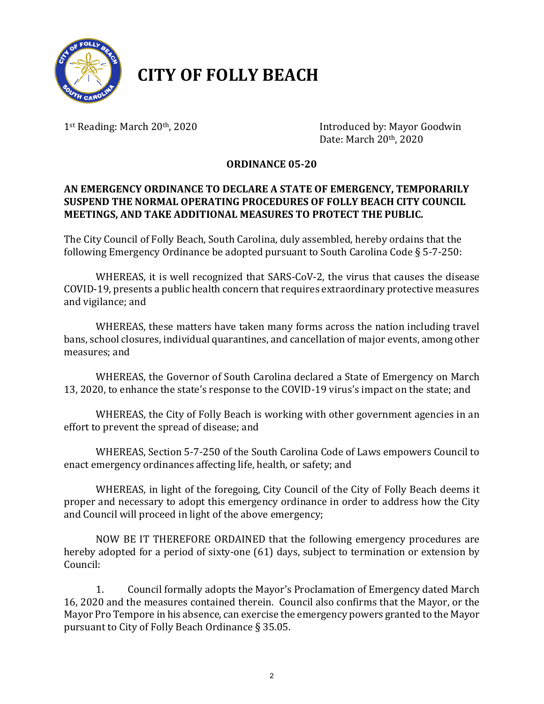

## **CITY OF FOLLY BEACH**

1<sup>st</sup> Reading: March 20<sup>th</sup>, 2020 **Introduced by: Mayor Goodwin** Date: March 20th, 2020

### **ORDINANCE 05-20**

### **AN EMERGENCY ORDINANCE TO DECLARE A STATE OF EMERGENCY, TEMPORARILY SUSPEND THE NORMAL OPERATING PROCEDURES OF FOLLY BEACH CITY COUNCIL MEETINGS, AND TAKE ADDITIONAL MEASURES TO PROTECT THE PUBLIC.**

The City Council of Folly Beach, South Carolina, duly assembled, hereby ordains that the following Emergency Ordinance be adopted pursuant to South Carolina Code § 5-7-250:

WHEREAS, it is well recognized that SARS-CoV-2, the virus that causes the disease COVID-19, presents a public health concern that requires extraordinary protective measures and vigilance; and

WHEREAS, these matters have taken many forms across the nation including travel bans, school closures, individual quarantines, and cancellation of major events, among other measures; and

WHEREAS, the Governor of South Carolina declared a State of Emergency on March 13, 2020, to enhance the state's response to the COVID-19 virus's impact on the state; and

WHEREAS, the City of Folly Beach is working with other government agencies in an effort to prevent the spread of disease; and

WHEREAS, Section 5-7-250 of the South Carolina Code of Laws empowers Council to enact emergency ordinances affecting life, health, or safety; and

WHEREAS, in light of the foregoing, City Council of the City of Folly Beach deems it proper and necessary to adopt this emergency ordinance in order to address how the City and Council will proceed in light of the above emergency;

NOW BE IT THEREFORE ORDAINED that the following emergency procedures are hereby adopted for a period of sixty-one (61) days, subject to termination or extension by Council:

1. Council formally adopts the Mayor's Proclamation of Emergency dated March 16, 2020 and the measures contained therein. Council also confirms that the Mayor, or the Mayor Pro Tempore in his absence, can exercise the emergency powers granted to the Mayor pursuant to City of Folly Beach Ordinance § 35.05.